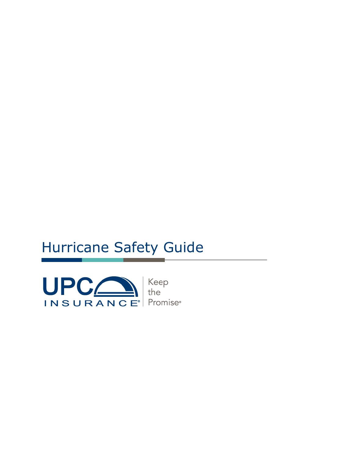# Hurricane Safety Guide



Keep<br>the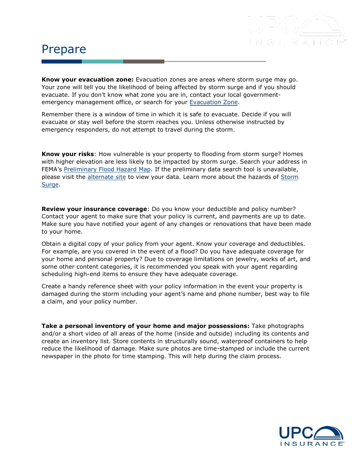#### Prepare

**Know your evacuation zone:** Evacuation zones are areas where storm surge may go. Your zone will tell you the likelihood of being affected by storm surge and if you should evacuate. If you don't know what zone you are in, contact your local governmentemergency management office, or search for your [Evacuation Zone](http://flash.org/pdf/2019EvacuationZones.pdf).

Remember there is a window of time in which it is safe to evacuate. Decide if you will evacuate or stay well before the storm reaches you. Unless otherwise instructed by emergency responders, do not attempt to travel during the storm.

**Know your risks**: How vulnerable is your property to flooding from storm surge? Homes with higher elevation are less likely to be impacted by storm surge. Search your address in FEMA's [Preliminary Flood Hazard Map.](https://msc.fema.gov/portal) If the preliminary data search tool is unavailable, please visit the [alternate site](https://floodmaps.fema.gov/prelim/PrelimData/) to view your data. Learn more about the hazards of [Storm](https://www.nhc.noaa.gov/prepare/hazards.php#surge)  [Surge.](https://www.nhc.noaa.gov/prepare/hazards.php#surge)

**Review your insurance coverage**: Do you know your deductible and policy number? Contact your agent to make sure that your policy is current, and payments are up to date. Make sure you have notified your agent of any changes or renovations that have been made to your home.

Obtain a digital copy of your policy from your agent. Know your coverage and deductibles. For example, are you covered in the event of a flood? Do you have adequate coverage for your home and personal property? Due to coverage limitations on jewelry, works of art, and some other content categories, it is recommended you speak with your agent regarding scheduling high-end items to ensure they have adequate coverage.

Create a handy reference sheet with your policy information in the event your property is damaged during the storm including your agent's name and phone number, best way to file a claim, and your policy number.

**Take a personal inventory of your home and major possessions:** Take photographs and/or a short video of all areas of the home (inside and outside) including its contents and create an inventory list. Store contents in structurally sound, waterproof containers to help reduce the likelihood of damage. Make sure photos are time-stamped or include the current newspaper in the photo for time stamping. This will help during the claim process.

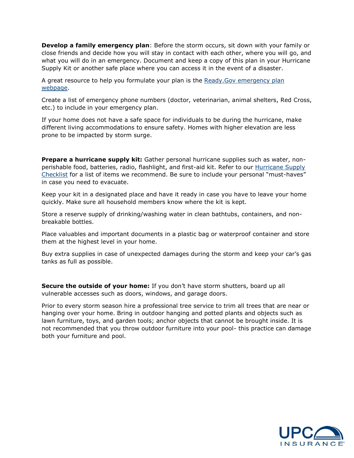**Develop a family emergency plan**: Before the storm occurs, sit down with your family or close friends and decide how you will stay in contact with each other, where you will go, and what you will do in an emergency. Document and keep a copy of this plan in your Hurricane Supply Kit or another safe place where you can access it in the event of a disaster.

A great resource to help you formulate your plan is the Ready.Gov [emergency plan](https://www.ready.gov/make-a-plan)  [webpage.](https://www.ready.gov/make-a-plan)

Create a list of emergency phone numbers (doctor, veterinarian, animal shelters, Red Cross, etc.) to include in your emergency plan.

If your home does not have a safe space for individuals to be during the hurricane, make different living accommodations to ensure safety. Homes with higher elevation are less prone to be impacted by storm surge.

**Prepare a hurricane supply kit:** Gather personal hurricane supplies such as water, nonperishable food, batteries, radio, flashlight, and first-aid kit. Refer to our [Hurricane Supply](https://www.upcinsurance.com/docs/default-source/marketing/content/hurricane_supply_checklist_pdf.pdf?Status=Temp&sfvrsn=7e5d8dde_2)  [Checklist](https://www.upcinsurance.com/docs/default-source/marketing/content/hurricane_supply_checklist_pdf.pdf?Status=Temp&sfvrsn=7e5d8dde_2) for a list of items we recommend. Be sure to include your personal "must-haves" in case you need to evacuate.

Keep your kit in a designated place and have it ready in case you have to leave your home quickly. Make sure all household members know where the kit is kept.

Store a reserve supply of drinking/washing water in clean bathtubs, containers, and nonbreakable bottles.

Place valuables and important documents in a plastic bag or waterproof container and store them at the highest level in your home.

Buy extra supplies in case of unexpected damages during the storm and keep your car's gas tanks as full as possible.

**Secure the outside of your home:** If you don't have storm shutters, board up all vulnerable accesses such as doors, windows, and garage doors.

Prior to every storm season hire a professional tree service to trim all trees that are near or hanging over your home. Bring in outdoor hanging and potted plants and objects such as lawn furniture, toys, and garden tools; anchor objects that cannot be brought inside. It is not recommended that you throw outdoor furniture into your pool- this practice can damage both your furniture and pool.

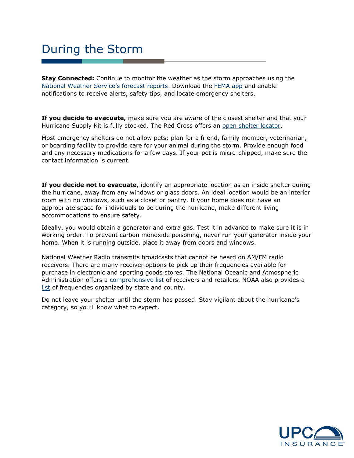### During the Storm

**Stay Connected:** Continue to monitor the weather as the storm approaches using the [National Weather Service's forecast reports](https://www.weather.gov/safety/hurricane-ww). Download the [FEMA app](https://www.fema.gov/mobile-app) and enable notifications to receive alerts, safety tips, and locate emergency shelters.

**If you decide to evacuate,** make sure you are aware of the closest shelter and that your Hurricane Supply Kit is fully stocked. The Red Cross offers an [open shelter locator.](https://www.redcross.org/get-help/disaster-relief-and-recovery-services/find-an-open-shelter.html)

Most emergency shelters do not allow pets; plan for a friend, family member, veterinarian, or boarding facility to provide care for your animal during the storm. Provide enough food and any necessary medications for a few days. If your pet is micro-chipped, make sure the contact information is current.

**If you decide not to evacuate,** identify an appropriate location as an inside shelter during the hurricane, away from any windows or glass doors. An ideal location would be an interior room with no windows, such as a closet or pantry. If your home does not have an appropriate space for individuals to be during the hurricane, make different living accommodations to ensure safety.

Ideally, you would obtain a generator and extra gas. Test it in advance to make sure it is in working order. To prevent carbon monoxide poisoning, never run your generator inside your home. When it is running outside, place it away from doors and windows.

National Weather Radio transmits broadcasts that cannot be heard on AM/FM radio receivers. There are many receiver options to pick up their frequencies available for purchase in electronic and sporting goods stores. The National Oceanic and Atmospheric Administration offers a [comprehensive list](https://w2.weather.gov/nwr/nwr_receivers#programming) of receivers and retailers. NOAA also provides a [list](https://www.nws.noaa.gov/nwr/coverage/station_listing.html) of frequencies organized by state and county.

Do not leave your shelter until the storm has passed. Stay vigilant about the hurricane's category, so you'll know what to expect.

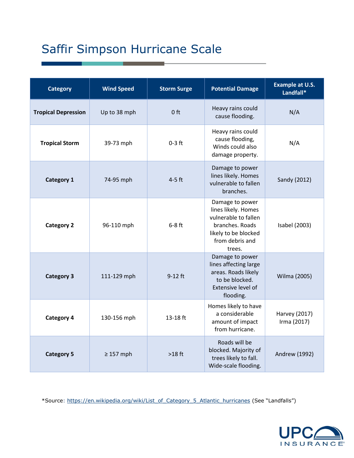## Saffir Simpson Hurricane Scale

| <b>Category</b>            | <b>Wind Speed</b> | <b>Storm Surge</b> | <b>Potential Damage</b>                                                                                                                | <b>Example at U.S.</b><br>Landfall* |
|----------------------------|-------------------|--------------------|----------------------------------------------------------------------------------------------------------------------------------------|-------------------------------------|
| <b>Tropical Depression</b> | Up to 38 mph      | 0 <sub>ft</sub>    | Heavy rains could<br>cause flooding.                                                                                                   | N/A                                 |
| <b>Tropical Storm</b>      | 39-73 mph         | $0-3$ ft           | Heavy rains could<br>cause flooding,<br>Winds could also<br>damage property.                                                           | N/A                                 |
| <b>Category 1</b>          | 74-95 mph         | $4-5$ ft           | Damage to power<br>lines likely. Homes<br>vulnerable to fallen<br>branches.                                                            | Sandy (2012)                        |
| <b>Category 2</b>          | 96-110 mph        | $6-8$ ft           | Damage to power<br>lines likely. Homes<br>vulnerable to fallen<br>branches. Roads<br>likely to be blocked<br>from debris and<br>trees. | Isabel (2003)                       |
| <b>Category 3</b>          | 111-129 mph       | $9-12$ ft          | Damage to power<br>lines affecting large<br>areas. Roads likely<br>to be blocked.<br>Extensive level of<br>flooding.                   | Wilma (2005)                        |
| <b>Category 4</b>          | 130-156 mph       | 13-18 ft           | Homes likely to have<br>a considerable<br>amount of impact<br>from hurricane.                                                          | Harvey (2017)<br>Irma (2017)        |
| <b>Category 5</b>          | $\geq$ 157 mph    | $>18$ ft           | Roads will be<br>blocked. Majority of<br>trees likely to fall.<br>Wide-scale flooding.                                                 | Andrew (1992)                       |

\*Source: [https://en.wikipedia.org/wiki/List\\_of\\_Category\\_5\\_Atlantic\\_hurricanes](https://en.wikipedia.org/wiki/List_of_Category_5_Atlantic_hurricanes) (See "Landfalls")

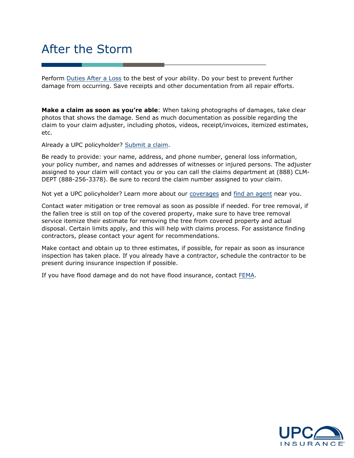### After the Storm

Perform [Duties After a Loss](https://www.upcinsurance.com/policyholders/duties-after-a-loss) to the best of your ability. Do your best to prevent further damage from occurring. Save receipts and other documentation from all repair efforts.

**Make a claim as soon as you're able**: When taking photographs of damages, take clear photos that shows the damage. Send as much documentation as possible regarding the claim to your claim adjuster, including photos, videos, receipt/invoices, itemized estimates, etc.

Already a UPC policyholder? [Submit a claim.](https://www.upcinsurance.com/policyholders)

Be ready to provide: your name, address, and phone number, general loss information, your policy number, and names and addresses of witnesses or injured persons. The adjuster assigned to your claim will contact you or you can call the claims department at (888) CLM-DEPT (888-256-3378). Be sure to record the claim number assigned to your claim.

Not yet a UPC policyholder? Learn more about our [coverages](https://www.upcinsurance.com/our-insurance) and [find an agent](https://www.upcinsurance.com/get-coverage) near you.

Contact water mitigation or tree removal as soon as possible if needed. For tree removal, if the fallen tree is still on top of the covered property, make sure to have tree removal service itemize their estimate for removing the tree from covered property and actual disposal. Certain limits apply, and this will help with claims process. For assistance finding contractors, please contact your agent for recommendations.

Make contact and obtain up to three estimates, if possible, for repair as soon as insurance inspection has taken place. If you already have a contractor, schedule the contractor to be present during insurance inspection if possible.

If you have flood damage and do not have flood insurance, contact [FEMA.](https://www.fema.gov/mobile-app)